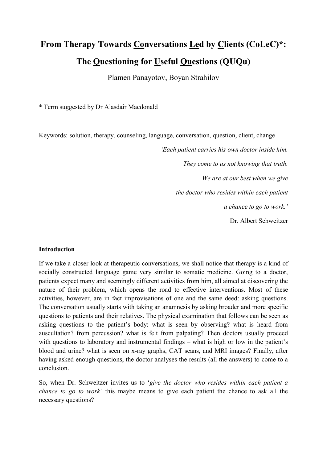# From Therapy Towards Conversations Led by Clients (CoLeC)\*: The Questioning for Useful Questions (QUQu)

Plamen Panayotov, Boyan Strahilov

\* Term suggested by Dr Alasdair Macdonald

Keywords: solution, therapy, counseling, language, conversation, question, client, change

'Each patient carries his own doctor inside him. They come to us not knowing that truth. We are at our best when we give the doctor who resides within each patient a chance to go to work.' Dr. Albert Schweitzer

#### Introduction

If we take a closer look at therapeutic conversations, we shall notice that therapy is a kind of socially constructed language game very similar to somatic medicine. Going to a doctor, patients expect many and seemingly different activities from him, all aimed at discovering the nature of their problem, which opens the road to effective interventions. Most of these activities, however, are in fact improvisations of one and the same deed: asking questions. The conversation usually starts with taking an anamnesis by asking broader and more specific questions to patients and their relatives. The physical examination that follows can be seen as asking questions to the patient's body: what is seen by observing? what is heard from auscultation? from percussion? what is felt from palpating? Then doctors usually proceed with questions to laboratory and instrumental findings – what is high or low in the patient's blood and urine? what is seen on x-ray graphs, CAT scans, and MRI images? Finally, after having asked enough questions, the doctor analyses the results (all the answers) to come to a conclusion.

So, when Dr. Schweitzer invites us to 'give the doctor who resides within each patient a chance to go to work' this maybe means to give each patient the chance to ask all the necessary questions?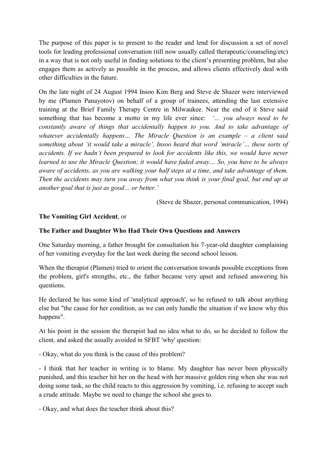The purpose of this paper is to present to the reader and lend for discussion a set of novel tools for leading professional conversation (till now usually called therapeutic/counseling/etc) in a way that is not only useful in finding solutions to the client's presenting problem, but also engages them as actively as possible in the process, and allows clients effectively deal with other difficulties in the future.

On the late night of 24 August 1994 Insoo Kim Berg and Steve de Shazer were interviewed by me (Plamen Panayotov) on behalf of a group of trainees, attending the last extensive training at the Brief Family Therapy Centre in Milwaukee. Near the end of it Steve said something that has become a motto in my life ever since: '... you always need to be constantly aware of things that accidentally happen to you. And to take advantage of whatever accidentally happens... The Miracle Question is an example - a client said something about 'it would take a miracle', Insoo heard that word 'miracle'… these sorts of accidents. If we hadn't been prepared to look for accidents like this, we would have never learned to use the Miracle Question; it would have faded away… So, you have to be always aware of accidents, as you are walking your half steps at a time, and take advantage of them. Then the accidents may turn you away from what you think is your final goal, but end up at another goal that is just as good… or better.'

(Steve de Shazer, personal communication, 1994)

### The Vomiting Girl Accident, or

### The Father and Daughter Who Had Their Own Questions and Answers

One Saturday morning, a father brought for consultation his 7-year-old daughter complaining of her vomiting everyday for the last week during the second school lesson.

When the therapist (Plamen) tried to orient the conversation towards possible exceptions from the problem, girl's strengths, etc., the father became very upset and refused answering his questions.

He declared he has some kind of 'analytical approach', so he refused to talk about anything else but "the cause for her condition, as we can only handle the situation if we know why this happens".

At his point in the session the therapist had no idea what to do, so he decided to follow the client, and asked the usually avoided in SFBT 'why' question:

- Okay, what do you think is the cause of this problem?

- I think that her teacher in writing is to blame. My daughter has never been physically punished, and this teacher hit her on the head with her massive golden ring when she was not doing some task, so the child reacts to this aggression by vomiting, i.e. refusing to accept such a crude attitude. Maybe we need to change the school she goes to.

- Okay, and what does the teacher think about this?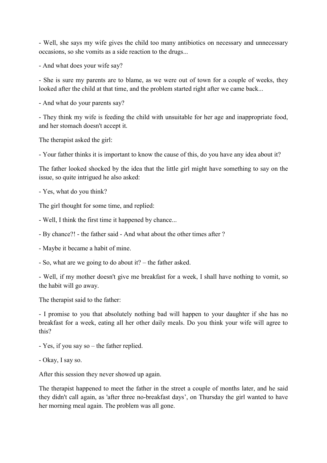- Well, she says my wife gives the child too many antibiotics on necessary and unnecessary occasions, so she vomits as a side reaction to the drugs...

- And what does your wife say?

- She is sure my parents are to blame, as we were out of town for a couple of weeks, they looked after the child at that time, and the problem started right after we came back...

- And what do your parents say?

- They think my wife is feeding the child with unsuitable for her age and inappropriate food, and her stomach doesn't accept it.

The therapist asked the girl:

- Your father thinks it is important to know the cause of this, do you have any idea about it?

The father looked shocked by the idea that the little girl might have something to say on the issue, so quite intrigued he also asked:

- Yes, what do you think?

The girl thought for some time, and replied:

- Well, I think the first time it happened by chance...

- By chance?! - the father said - And what about the other times after ?

- Maybe it became a habit of mine.

- So, what are we going to do about it? – the father asked.

- Well, if my mother doesn't give me breakfast for a week, I shall have nothing to vomit, so the habit will go away.

The therapist said to the father:

- I promise to you that absolutely nothing bad will happen to your daughter if she has no breakfast for a week, eating all her other daily meals. Do you think your wife will agree to this?

- Yes, if you say so – the father replied.

- Okay, I say so.

After this session they never showed up again.

The therapist happened to meet the father in the street a couple of months later, and he said they didn't call again, as 'after three no-breakfast days', on Thursday the girl wanted to have her morning meal again. The problem was all gone.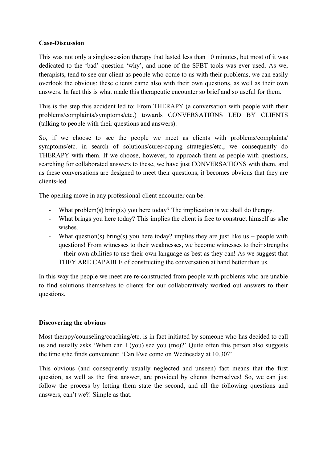### Case-Discussion

This was not only a single-session therapy that lasted less than 10 minutes, but most of it was dedicated to the 'bad' question 'why', and none of the SFBT tools was ever used. As we, therapists, tend to see our client as people who come to us with their problems, we can easily overlook the obvious: these clients came also with their own questions, as well as their own answers. In fact this is what made this therapeutic encounter so brief and so useful for them.

This is the step this accident led to: From THERAPY (a conversation with people with their problems/complaints/symptoms/etc.) towards CONVERSATIONS LED BY CLIENTS (talking to people with their questions and answers).

So, if we choose to see the people we meet as clients with problems/complaints/ symptoms/etc. in search of solutions/cures/coping strategies/etc., we consequently do THERAPY with them. If we choose, however, to approach them as people with questions, searching for collaborated answers to these, we have just CONVERSATIONS with them, and as these conversations are designed to meet their questions, it becomes obvious that they are clients-led.

The opening move in any professional-client encounter can be:

- What problem(s) bring(s) you here today? The implication is we shall do therapy.
- What brings you here today? This implies the client is free to construct himself as s/he wishes.
- What question(s) bring(s) you here today? implies they are just like us people with questions! From witnesses to their weaknesses, we become witnesses to their strengths – their own abilities to use their own language as best as they can! As we suggest that THEY ARE CAPABLE of constructing the conversation at hand better than us.

In this way the people we meet are re-constructed from people with problems who are unable to find solutions themselves to clients for our collaboratively worked out answers to their questions.

### Discovering the obvious

Most therapy/counseling/coaching/etc. is in fact initiated by someone who has decided to call us and usually asks 'When can I (you) see you (me)?' Quite often this person also suggests the time s/he finds convenient: 'Can I/we come on Wednesday at 10.30?'

This obvious (and consequently usually neglected and unseen) fact means that the first question, as well as the first answer, are provided by clients themselves! So, we can just follow the process by letting them state the second, and all the following questions and answers, can't we?! Simple as that.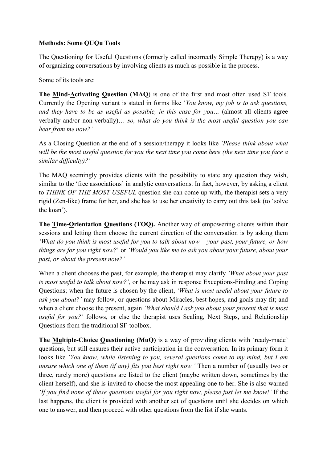### Methods: Some QUQu Tools

The Questioning for Useful Questions (formerly called incorrectly Simple Therapy) is a way of organizing conversations by involving clients as much as possible in the process.

Some of its tools are:

The Mind-Activating Question (MAQ) is one of the first and most often used ST tools. Currently the Opening variant is stated in forms like 'You know, my job is to ask questions, and they have to be as useful as possible, in this case for you… (almost all clients agree verbally and/or non-verbally)… so, what do you think is the most useful question you can hear from me now?'

As a Closing Question at the end of a session/therapy it looks like 'Please think about what will be the most useful question for you the next time you come here (the next time you face a similar difficulty)?'

The MAQ seemingly provides clients with the possibility to state any question they wish, similar to the 'free associations' in analytic conversations. In fact, however, by asking a client to THINK OF THE MOST USEFUL question she can come up with, the therapist sets a very rigid (Zen-like) frame for her, and she has to use her creativity to carry out this task (to 'solve the koan').

The Time-Orientation Questions (TOQ). Another way of empowering clients within their sessions and letting them choose the current direction of the conversation is by asking them 'What do you think is most useful for you to talk about now – your past, your future, or how things are for you right now?' or 'Would you like me to ask you about your future, about your past, or about the present now?'

When a client chooses the past, for example, the therapist may clarify 'What about your past is most useful to talk about now?', or he may ask in response Exceptions-Finding and Coping Questions; when the future is chosen by the client, 'What is most useful about your future to ask you about?' may follow, or questions about Miracles, best hopes, and goals may fit; and when a client choose the present, again *'What should I ask you about your present that is most* useful for you?' follows, or else the therapist uses Scaling, Next Steps, and Relationship Questions from the traditional SF-toolbox.

The Multiple-Choice Questioning (MuQ) is a way of providing clients with 'ready-made' questions, but still ensures their active participation in the conversation. In its primary form it looks like 'You know, while listening to you, several questions come to my mind, but I am unsure which one of them (if any) fits you best right now.' Then a number of (usually two or three, rarely more) questions are listed to the client (maybe written down, sometimes by the client herself), and she is invited to choose the most appealing one to her. She is also warned 'If you find none of these questions useful for you right now, please just let me know!' If the last happens, the client is provided with another set of questions until she decides on which one to answer, and then proceed with other questions from the list if she wants.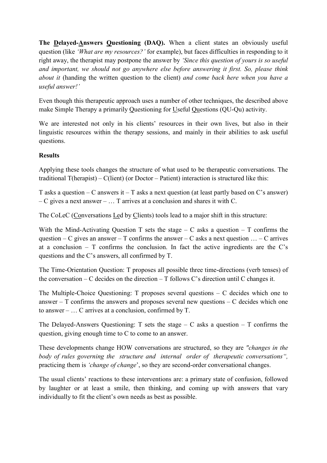The Delayed-Answers Questioning (DAQ). When a client states an obviously useful question (like 'What are my resources?' for example), but faces difficulties in responding to it right away, the therapist may postpone the answer by 'Since this question of yours is so useful and important, we should not go anywhere else before answering it first. So, please think about it (handing the written question to the client) and come back here when you have a useful answer!'

Even though this therapeutic approach uses a number of other techniques, the described above make Simple Therapy a primarily Questioning for Useful Questions (QU-Qu) activity.

We are interested not only in his clients' resources in their own lives, but also in their linguistic resources within the therapy sessions, and mainly in their abilities to ask useful questions.

## Results

Applying these tools changes the structure of what used to be therapeutic conversations. The traditional T(herapist) – C(lient) (or Doctor – Patient) interaction is structured like this:

T asks a question – C answers it – T asks a next question (at least partly based on C's answer) – C gives a next answer – … T arrives at a conclusion and shares it with C.

The CoLeC (Conversations Led by Clients) tools lead to a major shift in this structure:

With the Mind-Activating Question T sets the stage – C asks a question – T confirms the question – C gives an answer – T confirms the answer – C asks a next question  $\dots$  – C arrives at a conclusion –  $T$  confirms the conclusion. In fact the active ingredients are the C's questions and the C's answers, all confirmed by T.

The Time-Orientation Question: T proposes all possible three time-directions (verb tenses) of the conversation – C decides on the direction –  $T$  follows C's direction until C changes it.

The Multiple-Choice Questioning: T proposes several questions – C decides which one to answer –  $T$  confirms the answers and proposes several new questions –  $C$  decides which one to answer – … C arrives at a conclusion, confirmed by T.

The Delayed-Answers Questioning: T sets the stage  $-$  C asks a question  $-$  T confirms the question, giving enough time to C to come to an answer.

These developments change HOW conversations are structured, so they are "changes in the body of rules governing the structure and internal order of therapeutic conversations", practicing them is 'change of change', so they are second-order conversational changes.

The usual clients' reactions to these interventions are: a primary state of confusion, followed by laughter or at least a smile, then thinking, and coming up with answers that vary individually to fit the client's own needs as best as possible.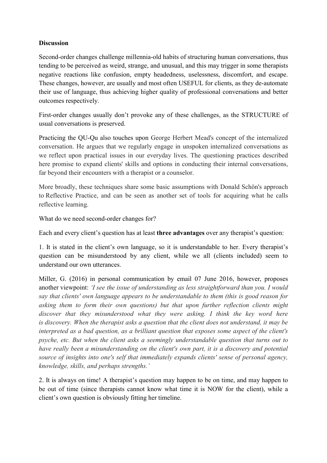## **Discussion**

Second-order changes challenge millennia-old habits of structuring human conversations, thus tending to be perceived as weird, strange, and unusual, and this may trigger in some therapists negative reactions like confusion, empty headedness, uselessness, discomfort, and escape. These changes, however, are usually and most often USEFUL for clients, as they de-automate their use of language, thus achieving higher quality of professional conversations and better outcomes respectively.

First-order changes usually don't provoke any of these challenges, as the STRUCTURE of usual conversations is preserved.

Practicing the QU-Qu also touches upon George Herbert Mead's concept of the internalized conversation. He argues that we regularly engage in unspoken internalized conversations as we reflect upon practical issues in our everyday lives. The questioning practices described here promise to expand clients' skills and options in conducting their internal conversations, far beyond their encounters with a therapist or a counselor.

More broadly, these techniques share some basic assumptions with Donald Schön's approach to Reflective Practice, and can be seen as another set of tools for acquiring what he calls reflective learning.

What do we need second-order changes for?

Each and every client's question has at least three advantages over any therapist's question:

1. It is stated in the client's own language, so it is understandable to her. Every therapist's question can be misunderstood by any client, while we all (clients included) seem to understand our own utterances.

Miller, G. (2016) in personal communication by email 07 June 2016, however, proposes another viewpoint: 'I see the issue of understanding as less straightforward than you. I would say that clients' own language appears to be understandable to them (this is good reason for asking them to form their own questions) but that upon further reflection clients might discover that they misunderstood what they were asking. I think the key word here is discovery. When the therapist asks a question that the client does not understand, it may be interpreted as a bad question, as a brilliant question that exposes some aspect of the client's psyche, etc. But when the client asks a seemingly understandable question that turns out to have really been a misunderstanding on the client's own part, it is a discovery and potential source of insights into one's self that immediately expands clients' sense of personal agency, knowledge, skills, and perhaps strengths.'

2. It is always on time! A therapist's question may happen to be on time, and may happen to be out of time (since therapists cannot know what time it is NOW for the client), while a client's own question is obviously fitting her timeline.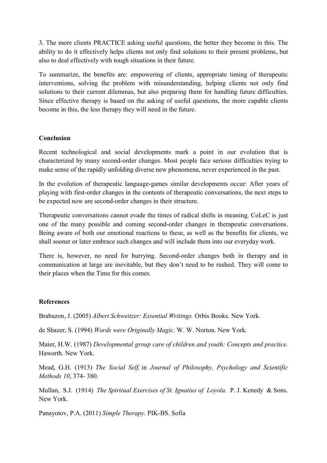3. The more clients PRACTICE asking useful questions, the better they become in this. The ability to do it effectively helps clients not only find solutions to their present problems, but also to deal effectively with tough situations in their future.

To summarize, the benefits are: empowering of clients, appropriate timing of therapeutic interventions, solving the problem with misunderstanding, helping clients not only find solutions to their current dilemmas, but also preparing them for handling future difficulties. Since effective therapy is based on the asking of useful questions, the more capable clients become in this, the less therapy they will need in the future.

### Conclusion

Recent technological and social developments mark a point in our evolution that is characterized by many second-order changes. Most people face serious difficulties trying to make sense of the rapidly unfolding diverse new phenomena, never experienced in the past.

In the evolution of therapeutic language-games similar developments occur: After years of playing with first-order changes in the contents of therapeutic conversations, the next steps to be expected now are second-order changes in their structure.

Therapeutic conversations cannot evade the times of radical shifts in meaning. CoLeC is just one of the many possible and coming second-order changes in therapeutic conversations. Being aware of both our emotional reactions to these, as well as the benefits for clients, we shall sooner or later embrace such changes and will include them into our everyday work.

There is, however, no need for hurrying. Second-order changes both in therapy and in communication at large are inevitable, but they don't need to be rushed. They will come to their places when the Time for this comes.

#### References

Brabazon, J. (2005) Albert Schweitzer: Essential Writings. Orbis Books. New York.

de Shazer, S. (1994) Words were Originally Magic. W. W. Norton. New York.

Maier, H.W. (1987) Developmental group care of children and youth: Concepts and practice. Haworth. New York.

Mead, G.H. (1913) The Social Self, in Journal of Philosophy, Psychology and Scientific Methods 10, 374- 380.

Mullan, S.J. (1914) The Spiritual Exercises of St. Ignatius of Loyola. P. J. Kenedy & Sons. New York.

Panayotov, P.A. (2011) Simple Therapy. PIK-BS. Sofia